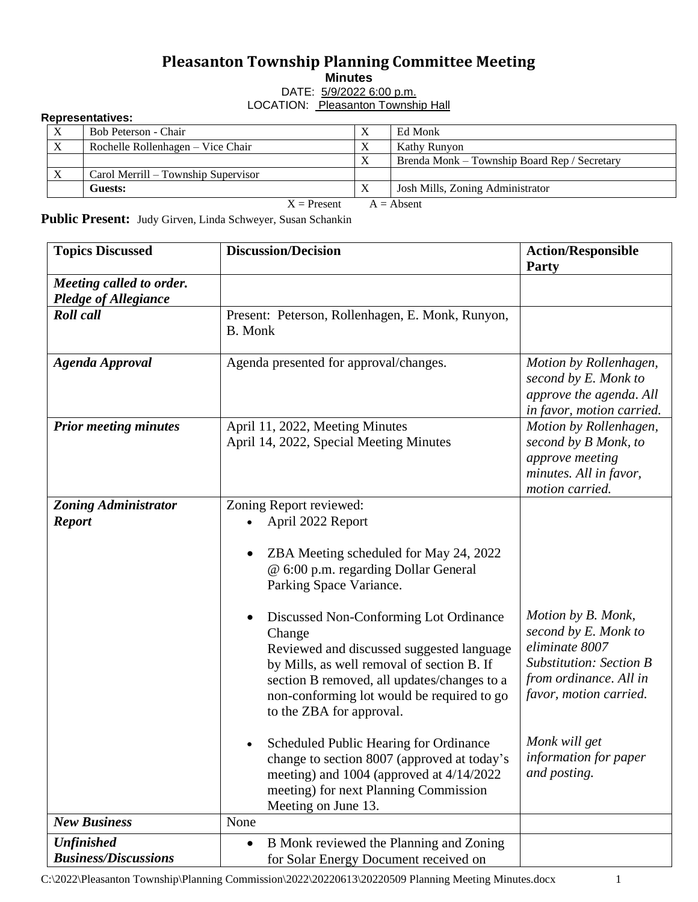## **Pleasanton Township Planning Committee Meeting**

**Minutes**

DATE: 5/9/2022 6:00 p.m.

## LOCATION: Pleasanton Township Hall

|  | <b>Representatives:</b> |
|--|-------------------------|
|--|-------------------------|

|                               | Bob Peterson - Chair                | $\Lambda$ | Ed Monk                                      |  |  |
|-------------------------------|-------------------------------------|-----------|----------------------------------------------|--|--|
| X                             | Rochelle Rollenhagen – Vice Chair   | $\Lambda$ | Kathy Runyon                                 |  |  |
|                               |                                     | $\Lambda$ | Brenda Monk – Township Board Rep / Secretary |  |  |
|                               | Carol Merrill – Township Supervisor |           |                                              |  |  |
|                               | Guests:                             | $\Lambda$ | Josh Mills, Zoning Administrator             |  |  |
| $X =$ Present<br>$A =$ Absent |                                     |           |                                              |  |  |

**Public Present:** Judy Girven, Linda Schweyer, Susan Schankin

| <b>Topics Discussed</b>                                 | <b>Discussion/Decision</b>                                                                                                                                                                                                                                                                                                                                                                                                                                                                                                                                                                                                             | <b>Action/Responsible</b><br><b>Party</b>                                                                                                                                                                    |
|---------------------------------------------------------|----------------------------------------------------------------------------------------------------------------------------------------------------------------------------------------------------------------------------------------------------------------------------------------------------------------------------------------------------------------------------------------------------------------------------------------------------------------------------------------------------------------------------------------------------------------------------------------------------------------------------------------|--------------------------------------------------------------------------------------------------------------------------------------------------------------------------------------------------------------|
| Meeting called to order.<br><b>Pledge of Allegiance</b> |                                                                                                                                                                                                                                                                                                                                                                                                                                                                                                                                                                                                                                        |                                                                                                                                                                                                              |
| <b>Roll</b> call                                        | Present: Peterson, Rollenhagen, E. Monk, Runyon,<br><b>B.</b> Monk                                                                                                                                                                                                                                                                                                                                                                                                                                                                                                                                                                     |                                                                                                                                                                                                              |
| <b>Agenda Approval</b>                                  | Agenda presented for approval/changes.                                                                                                                                                                                                                                                                                                                                                                                                                                                                                                                                                                                                 | Motion by Rollenhagen,<br>second by E. Monk to<br>approve the agenda. All<br>in favor, motion carried.                                                                                                       |
| <b>Prior meeting minutes</b>                            | April 11, 2022, Meeting Minutes<br>April 14, 2022, Special Meeting Minutes                                                                                                                                                                                                                                                                                                                                                                                                                                                                                                                                                             |                                                                                                                                                                                                              |
| <b>Zoning Administrator</b><br><b>Report</b>            | Zoning Report reviewed:<br>April 2022 Report<br>ZBA Meeting scheduled for May 24, 2022<br>@ 6:00 p.m. regarding Dollar General<br>Parking Space Variance.<br>Discussed Non-Conforming Lot Ordinance<br>Change<br>Reviewed and discussed suggested language<br>by Mills, as well removal of section B. If<br>section B removed, all updates/changes to a<br>non-conforming lot would be required to go<br>to the ZBA for approval.<br>Scheduled Public Hearing for Ordinance<br>change to section 8007 (approved at today's<br>meeting) and 1004 (approved at 4/14/2022<br>meeting) for next Planning Commission<br>Meeting on June 13. | Motion by B. Monk,<br>second by E. Monk to<br>eliminate 8007<br><b>Substitution: Section B</b><br>from ordinance. All in<br>favor, motion carried.<br>Monk will get<br>information for paper<br>and posting. |
| <b>New Business</b>                                     | None                                                                                                                                                                                                                                                                                                                                                                                                                                                                                                                                                                                                                                   |                                                                                                                                                                                                              |
| <b>Unfinished</b><br><b>Business/Discussions</b>        | B Monk reviewed the Planning and Zoning<br>$\bullet$<br>for Solar Energy Document received on                                                                                                                                                                                                                                                                                                                                                                                                                                                                                                                                          |                                                                                                                                                                                                              |

C:\2022\Pleasanton Township\Planning Commission\2022\20220613\20220509 Planning Meeting Minutes.docx 1